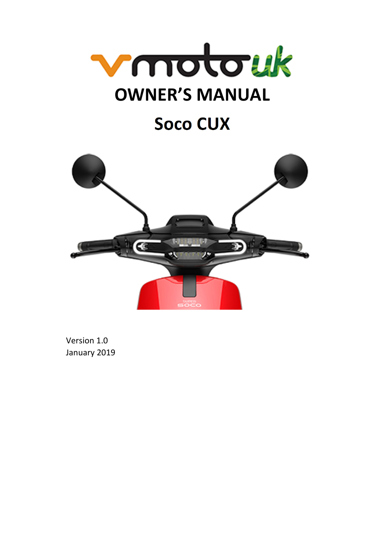

# **Soco CUX**



Version 1.0 January 2019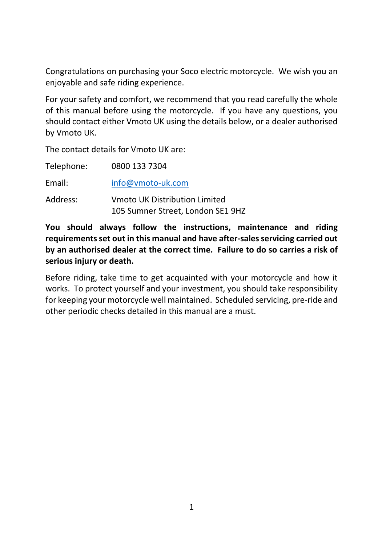Congratulations on purchasing your Soco electric motorcycle. We wish you an enjoyable and safe riding experience.

For your safety and comfort, we recommend that you read carefully the whole of this manual before using the motorcycle. If you have any questions, you should contact either Vmoto UK using the details below, or a dealer authorised by Vmoto UK.

The contact details for Vmoto UK are:

| Telephone: | 0800 133 7304                                                      |
|------------|--------------------------------------------------------------------|
| Email:     | info@vmoto-uk.com                                                  |
| Address:   | Vmoto UK Distribution Limited<br>105 Sumner Street, London SE1 9HZ |

**You should always follow the instructions, maintenance and riding requirements set out in this manual and have after‐sales servicing carried out by an authorised dealer at the correct time. Failure to do so carries a risk of serious injury or death.** 

Before riding, take time to get acquainted with your motorcycle and how it works. To protect yourself and your investment, you should take responsibility for keeping your motorcycle well maintained. Scheduled servicing, pre‐ride and other periodic checks detailed in this manual are a must.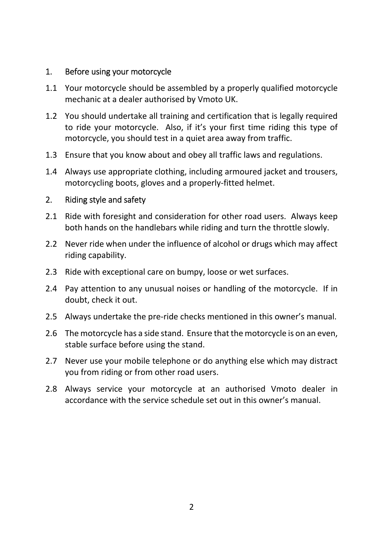# 1. Before using your motorcycle

- 1.1 Your motorcycle should be assembled by a properly qualified motorcycle mechanic at a dealer authorised by Vmoto UK.
- 1.2 You should undertake all training and certification that is legally required to ride your motorcycle. Also, if it's your first time riding this type of motorcycle, you should test in a quiet area away from traffic.
- 1.3 Ensure that you know about and obey all traffic laws and regulations.
- 1.4 Always use appropriate clothing, including armoured jacket and trousers, motorcycling boots, gloves and a properly‐fitted helmet.

## 2. Riding style and safety

- 2.1 Ride with foresight and consideration for other road users. Always keep both hands on the handlebars while riding and turn the throttle slowly.
- 2.2 Never ride when under the influence of alcohol or drugs which may affect riding capability.
- 2.3 Ride with exceptional care on bumpy, loose or wet surfaces.
- 2.4 Pay attention to any unusual noises or handling of the motorcycle. If in doubt, check it out.
- 2.5 Always undertake the pre-ride checks mentioned in this owner's manual.
- 2.6 The motorcycle has a side stand. Ensure that the motorcycle is on an even, stable surface before using the stand.
- 2.7 Never use your mobile telephone or do anything else which may distract you from riding or from other road users.
- 2.8 Always service your motorcycle at an authorised Vmoto dealer in accordance with the service schedule set out in this owner's manual.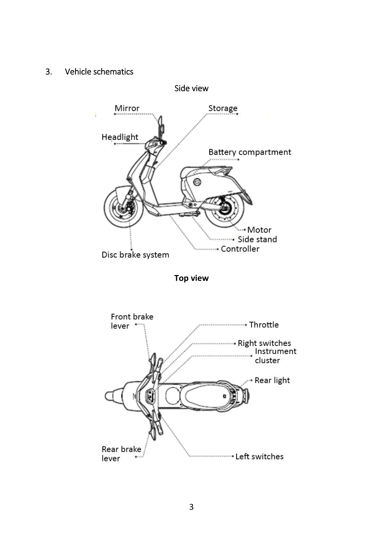# 3. Vehicle schematics

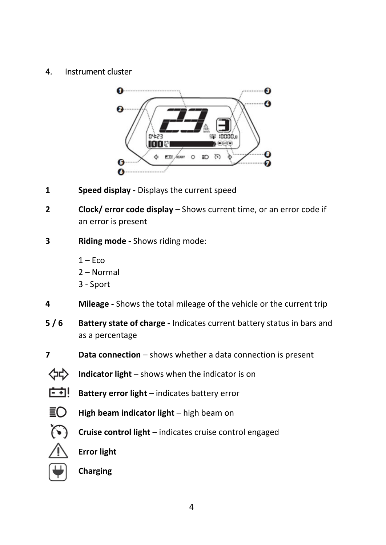## 4. Instrument cluster



- **1 Speed display** Displays the current speed
- **2 Clock/ error code display** Shows current time, or an error code if an error is present
- **3 Riding mode ‐** Shows riding mode:
	- $1 F$ co
	- 2 Normal
	- 3 ‐ Sport
- **4 Mileage ‐** Shows the total mileage of the vehicle or the current trip
- **5 / 6 Battery state of charge ‐** Indicates current battery status in bars and as a percentage
- **7 Data connection** shows whether a data connection is present

**Cruise control light** – indicates cruise control engaged



- **Indicator light** shows when the indicator is on
- 庄利 **Battery error light** – indicates battery error
- ≣O. **High beam indicator light** – high beam on
- $\Omega$
- **Error light**



**Charging**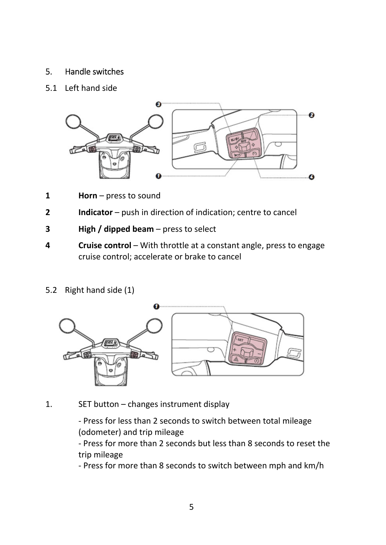# 5. Handle switches

## 5.1 Left hand side



- **1 Horn** press to sound
- **2 Indicator** push in direction of indication; centre to cancel
- **3 High / dipped beam** press to select
- **4 Cruise control** With throttle at a constant angle, press to engage cruise control; accelerate or brake to cancel
- 5.2 Right hand side (1)



1. SET button – changes instrument display

‐ Press for less than 2 seconds to switch between total mileage (odometer) and trip mileage

‐ Press for more than 2 seconds but less than 8 seconds to reset the trip mileage

‐ Press for more than 8 seconds to switch between mph and km/h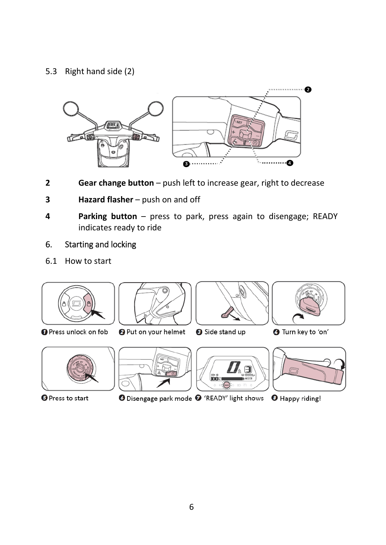# 5.3 Right hand side (2)



- **2 Gear change button** push left to increase gear, right to decrease
- **3 Hazard flasher** push on and off
- **4 Parking button** press to park, press again to disengage; READY indicates ready to ride

# 6. Starting and locking

6.1 How to start



**O** Press to start

**O** Disengage park mode <sup>O</sup> 'READY' light shows <sup>O</sup> Happy riding!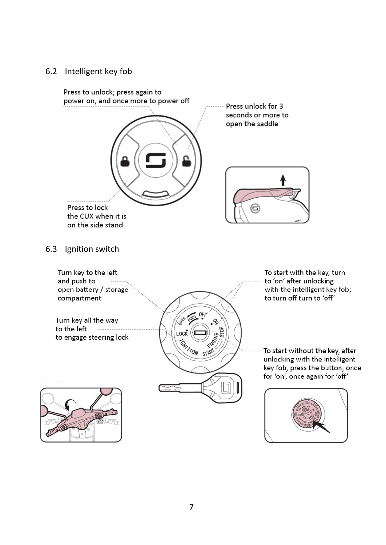### 6.2 Intelligent key fob

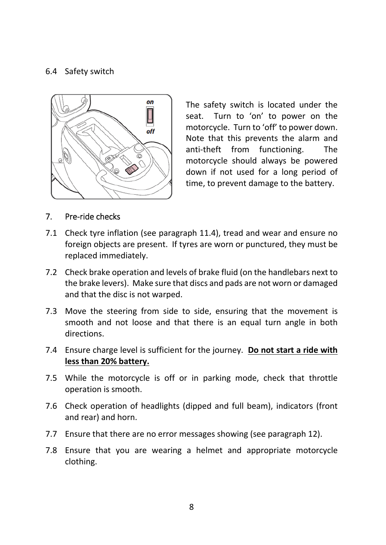## 6.4 Safety switch



The safety switch is located under the seat. Turn to 'on' to power on the motorcycle. Turn to 'off' to power down. Note that this prevents the alarm and anti‐theft from functioning. The motorcycle should always be powered down if not used for a long period of time, to prevent damage to the battery.

#### 7. Pre‐ride checks

- 7.1 Check tyre inflation (see paragraph 11.4), tread and wear and ensure no foreign objects are present. If tyres are worn or punctured, they must be replaced immediately.
- 7.2 Check brake operation and levels of brake fluid (on the handlebars next to the brake levers). Make sure that discs and pads are not worn or damaged and that the disc is not warped.
- 7.3 Move the steering from side to side, ensuring that the movement is smooth and not loose and that there is an equal turn angle in both directions.
- 7.4 Ensure charge level is sufficient for the journey. **Do not start a ride with less than 20% battery.**
- 7.5 While the motorcycle is off or in parking mode, check that throttle operation is smooth.
- 7.6 Check operation of headlights (dipped and full beam), indicators (front and rear) and horn.
- 7.7 Ensure that there are no error messages showing (see paragraph 12).
- 7.8 Ensure that you are wearing a helmet and appropriate motorcycle clothing.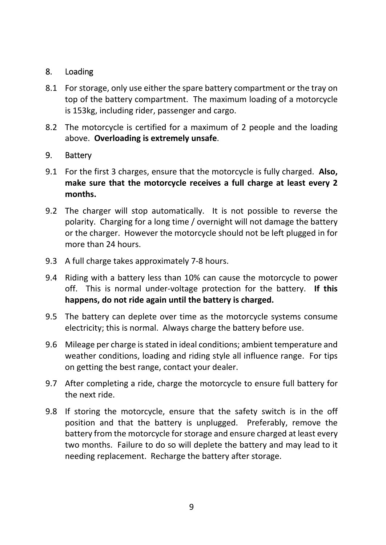# 8. Loading

- 8.1 For storage, only use either the spare battery compartment or the tray on top of the battery compartment. The maximum loading of a motorcycle is 153kg, including rider, passenger and cargo.
- 8.2 The motorcycle is certified for a maximum of 2 people and the loading above. **Overloading is extremely unsafe**.

## 9. Battery

- 9.1 For the first 3 charges, ensure that the motorcycle is fully charged. **Also, make sure that the motorcycle receives a full charge at least every 2 months.**
- 9.2 The charger will stop automatically. It is not possible to reverse the polarity. Charging for a long time / overnight will not damage the battery or the charger. However the motorcycle should not be left plugged in for more than 24 hours.
- 9.3 A full charge takes approximately 7-8 hours.
- 9.4 Riding with a battery less than 10% can cause the motorcycle to power off. This is normal under‐voltage protection for the battery. **If this happens, do not ride again until the battery is charged.**
- 9.5 The battery can deplete over time as the motorcycle systems consume electricity; this is normal. Always charge the battery before use.
- 9.6 Mileage per charge is stated in ideal conditions; ambient temperature and weather conditions, loading and riding style all influence range. For tips on getting the best range, contact your dealer.
- 9.7 After completing a ride, charge the motorcycle to ensure full battery for the next ride.
- 9.8 If storing the motorcycle, ensure that the safety switch is in the off position and that the battery is unplugged. Preferably, remove the battery from the motorcycle for storage and ensure charged at least every two months. Failure to do so will deplete the battery and may lead to it needing replacement. Recharge the battery after storage.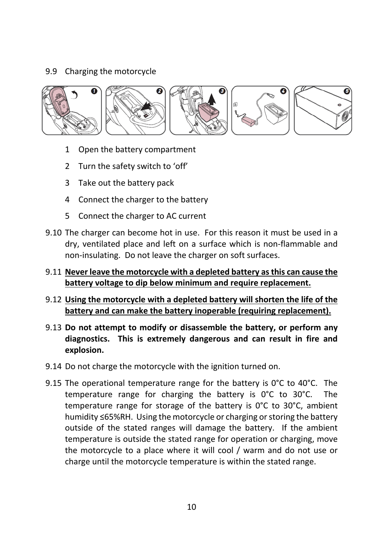# 9.9 Charging the motorcycle



- 1 Open the battery compartment
- 2 Turn the safety switch to 'off'
- 3 Take out the battery pack
- 4 Connect the charger to the battery
- 5 Connect the charger to AC current
- 9.10 The charger can become hot in use. For this reason it must be used in a dry, ventilated place and left on a surface which is non‐flammable and non‐insulating. Do not leave the charger on soft surfaces.
- 9.11 **Never leave the motorcycle with a depleted battery as this can cause the battery voltage to dip below minimum and require replacement.**
- 9.12 **Using the motorcycle with a depleted battery will shorten the life of the battery and can make the battery inoperable (requiring replacement).**
- 9.13 **Do not attempt to modify or disassemble the battery, or perform any diagnostics. This is extremely dangerous and can result in fire and explosion.**
- 9.14 Do not charge the motorcycle with the ignition turned on.
- 9.15 The operational temperature range for the battery is 0°C to 40°C. The temperature range for charging the battery is 0°C to 30°C. The temperature range for storage of the battery is  $0^{\circ}$ C to  $30^{\circ}$ C, ambient humidity ≤65%RH. Using the motorcycle or charging or storing the battery outside of the stated ranges will damage the battery. If the ambient temperature is outside the stated range for operation or charging, move the motorcycle to a place where it will cool / warm and do not use or charge until the motorcycle temperature is within the stated range.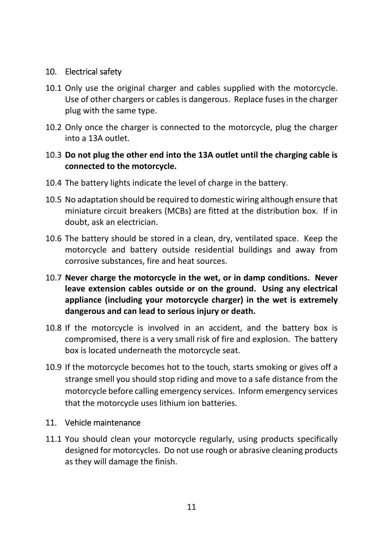# 10. Electrical safety

- 10.1 Only use the original charger and cables supplied with the motorcycle. Use of other chargers or cables is dangerous. Replace fuses in the charger plug with the same type.
- 10.2 Only once the charger is connected to the motorcycle, plug the charger into a 13A outlet.

## 10.3 **Do not plug the other end into the 13A outlet until the charging cable is connected to the motorcycle.**

- 10.4 The battery lights indicate the level of charge in the battery.
- 10.5 No adaptation should be required to domestic wiring although ensure that miniature circuit breakers (MCBs) are fitted at the distribution box. If in doubt, ask an electrician.
- 10.6 The battery should be stored in a clean, dry, ventilated space. Keep the motorcycle and battery outside residential buildings and away from corrosive substances, fire and heat sources.
- 10.7 **Never charge the motorcycle in the wet, or in damp conditions. Never leave extension cables outside or on the ground. Using any electrical appliance (including your motorcycle charger) in the wet is extremely dangerous and can lead to serious injury or death.**
- 10.8 If the motorcycle is involved in an accident, and the battery box is compromised, there is a very small risk of fire and explosion. The battery box is located underneath the motorcycle seat.
- 10.9 If the motorcycle becomes hot to the touch, starts smoking or gives off a strange smell you should stop riding and move to a safe distance from the motorcycle before calling emergency services. Inform emergency services that the motorcycle uses lithium ion batteries.

## 11. Vehicle maintenance

11.1 You should clean your motorcycle regularly, using products specifically designed for motorcycles. Do not use rough or abrasive cleaning products as they will damage the finish.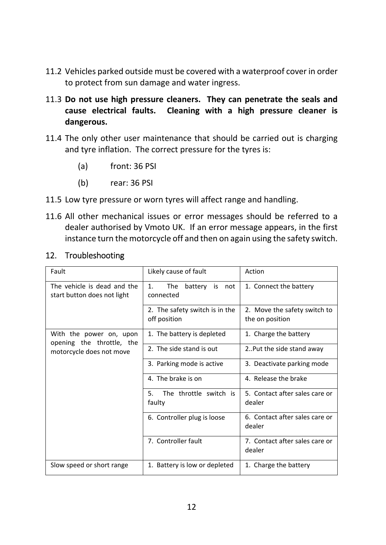- 11.2 Vehicles parked outside must be covered with a waterproof cover in order to protect from sun damage and water ingress.
- 11.3 **Do not use high pressure cleaners. They can penetrate the seals and cause electrical faults. Cleaning with a high pressure cleaner is dangerous.**
- 11.4 The only other user maintenance that should be carried out is charging and tyre inflation. The correct pressure for the tyres is:
	- (a) front: 36 PSI
	- (b) rear: 36 PSI
- 11.5 Low tyre pressure or worn tyres will affect range and handling.
- 11.6 All other mechanical issues or error messages should be referred to a dealer authorised by Vmoto UK. If an error message appears, in the first instance turn the motorcycle off and then on again using the safety switch.

| Fault                                                      | Likely cause of fault                                       | Action                                          |
|------------------------------------------------------------|-------------------------------------------------------------|-------------------------------------------------|
| The vehicle is dead and the<br>start button does not light | 1 <sub>1</sub><br><b>The</b><br>battery is not<br>connected | 1. Connect the battery                          |
|                                                            | 2. The safety switch is in the<br>off position              | 2. Move the safety switch to<br>the on position |
| With the power on, upon<br>opening the throttle, the       | 1. The battery is depleted                                  | 1. Charge the battery                           |
| motorcycle does not move                                   | 2. The side stand is out                                    | 2. Put the side stand away                      |
|                                                            | 3. Parking mode is active                                   | 3. Deactivate parking mode                      |
|                                                            | 4. The brake is on                                          | 4. Release the brake                            |
|                                                            | 5.<br>The throttle switch is<br>faulty                      | 5. Contact after sales care or<br>dealer        |
|                                                            | 6. Controller plug is loose                                 | 6. Contact after sales care or<br>dealer        |
|                                                            | 7. Controller fault                                         | 7. Contact after sales care or<br>dealer        |
| Slow speed or short range                                  | 1. Battery is low or depleted                               | 1. Charge the battery                           |

## 12. Troubleshooting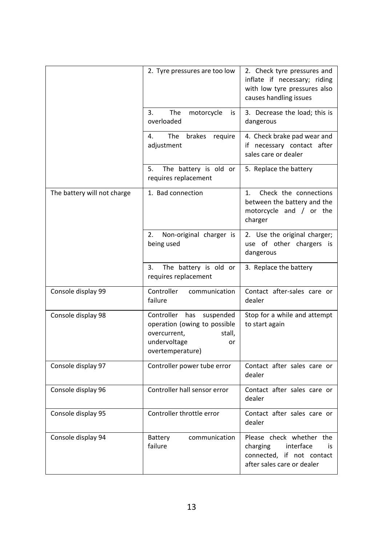|                             | 2. Tyre pressures are too low                                                                                                      | 2. Check tyre pressures and<br>inflate if necessary; riding<br>with low tyre pressures also<br>causes handling issues |
|-----------------------------|------------------------------------------------------------------------------------------------------------------------------------|-----------------------------------------------------------------------------------------------------------------------|
|                             | 3.<br>The<br>motorcycle<br>is<br>overloaded                                                                                        | 3. Decrease the load; this is<br>dangerous                                                                            |
|                             | 4.<br>The<br>brakes<br>require<br>adjustment                                                                                       | 4. Check brake pad wear and<br>if necessary contact after<br>sales care or dealer                                     |
|                             | 5.<br>The battery is old or<br>requires replacement                                                                                | 5. Replace the battery                                                                                                |
| The battery will not charge | 1. Bad connection                                                                                                                  | Check the connections<br>1.<br>between the battery and the<br>motorcycle and / or the<br>charger                      |
|                             | 2.<br>Non-original charger is<br>being used                                                                                        | 2. Use the original charger;<br>use of other chargers is<br>dangerous                                                 |
|                             | 3.<br>The battery is old or<br>requires replacement                                                                                | 3. Replace the battery                                                                                                |
| Console display 99          | Controller<br>communication<br>failure                                                                                             | Contact after-sales care or<br>dealer                                                                                 |
| Console display 98          | Controller<br>has<br>suspended<br>operation (owing to possible<br>overcurrent,<br>stall,<br>undervoltage<br>or<br>overtemperature) | Stop for a while and attempt<br>to start again                                                                        |
| Console display 97          | Controller power tube error                                                                                                        | Contact after sales care or<br>dealer                                                                                 |
| Console display 96          | Controller hall sensor error                                                                                                       | Contact after sales care or<br>dealer                                                                                 |
| Console display 95          | Controller throttle error                                                                                                          | Contact after sales care or<br>dealer                                                                                 |
| Console display 94          | communication<br>Battery<br>failure                                                                                                | Please check whether the<br>interface<br>charging<br>is<br>connected. if not contact<br>after sales care or dealer    |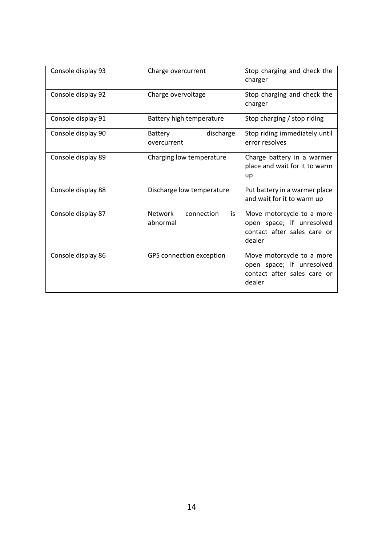| Console display 93 | Charge overcurrent                      | Stop charging and check the<br>charger                                                          |
|--------------------|-----------------------------------------|-------------------------------------------------------------------------------------------------|
| Console display 92 | Charge overvoltage                      | Stop charging and check the<br>charger                                                          |
| Console display 91 | Battery high temperature                | Stop charging / stop riding                                                                     |
| Console display 90 | discharge<br>Battery<br>overcurrent     | Stop riding immediately until<br>error resolves                                                 |
| Console display 89 | Charging low temperature                | Charge battery in a warmer<br>place and wait for it to warm<br>up                               |
| Console display 88 | Discharge low temperature               | Put battery in a warmer place<br>and wait for it to warm up                                     |
| Console display 87 | Network<br>connection<br>is<br>abnormal | Move motorcycle to a more<br>open space; if unresolved<br>contact after sales care or<br>dealer |
| Console display 86 | GPS connection exception                | Move motorcycle to a more<br>open space; if unresolved<br>contact after sales care or<br>dealer |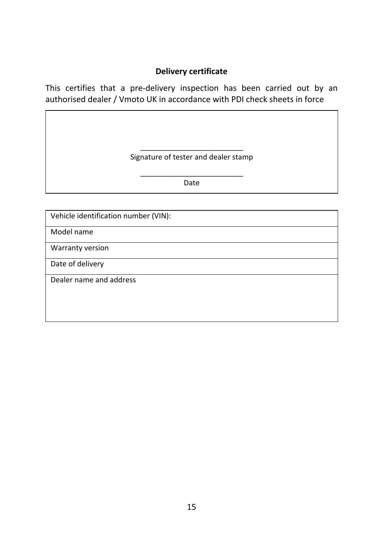## **Delivery certificate**

This certifies that a pre-delivery inspection has been carried out by an authorised dealer / Vmoto UK in accordance with PDI check sheets in force

> \_\_\_\_\_\_\_\_\_\_\_\_\_\_\_\_\_\_\_\_\_\_\_\_\_ Signature of tester and dealer stamp

\_\_\_\_\_\_\_\_\_\_\_\_\_\_\_\_\_\_\_\_\_\_\_\_\_ Date

Vehicle identification number (VIN):

Model name

Warranty version

Date of delivery

Dealer name and address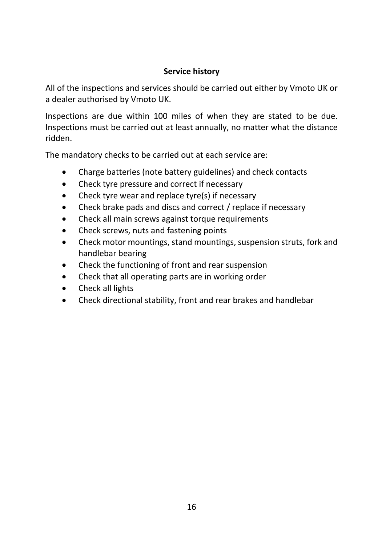# **Service history**

All of the inspections and services should be carried out either by Vmoto UK or a dealer authorised by Vmoto UK.

Inspections are due within 100 miles of when they are stated to be due. Inspections must be carried out at least annually, no matter what the distance ridden.

The mandatory checks to be carried out at each service are:

- Charge batteries (note battery guidelines) and check contacts
- Check tyre pressure and correct if necessary
- Check tyre wear and replace tyre(s) if necessary
- Check brake pads and discs and correct / replace if necessary
- Check all main screws against torque requirements
- Check screws, nuts and fastening points
- Check motor mountings, stand mountings, suspension struts, fork and handlebar bearing
- Check the functioning of front and rear suspension
- Check that all operating parts are in working order
- Check all lights
- Check directional stability, front and rear brakes and handlebar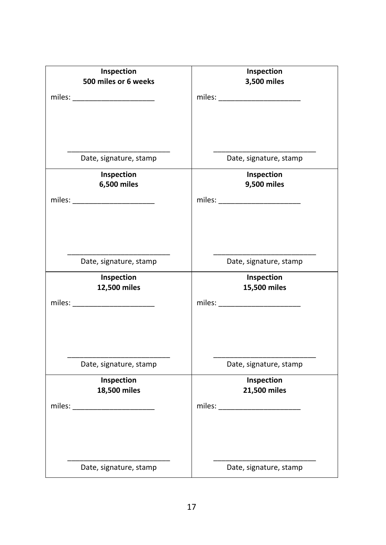| Inspection<br>500 miles or 6 weeks | Inspection<br>3,500 miles  |
|------------------------------------|----------------------------|
|                                    |                            |
|                                    |                            |
|                                    |                            |
|                                    |                            |
| Date, signature, stamp             | Date, signature, stamp     |
| Inspection                         | Inspection                 |
| 6,500 miles                        | 9,500 miles                |
|                                    |                            |
|                                    |                            |
|                                    |                            |
|                                    |                            |
| Date, signature, stamp             | Date, signature, stamp     |
| Inspection<br>12,500 miles         | Inspection<br>15,500 miles |
|                                    |                            |
| miles: ________________________    |                            |
|                                    |                            |
|                                    |                            |
|                                    |                            |
| Date, signature, stamp             | Date, signature, stamp     |
| Inspection<br>18,500 miles         | Inspection<br>21,500 miles |
| miles: $\frac{1}{2}$ miles:        |                            |
|                                    |                            |
|                                    |                            |
|                                    |                            |
| Date, signature, stamp             | Date, signature, stamp     |
|                                    |                            |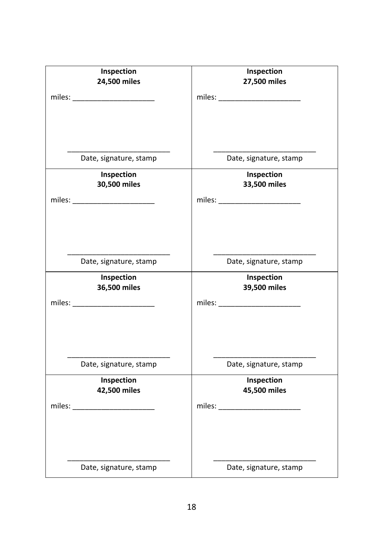| Inspection<br>24,500 miles                                                                                                                                                                                                                                                                                                                                                                                                                                                                                | Inspection<br>27,500 miles                                                        |
|-----------------------------------------------------------------------------------------------------------------------------------------------------------------------------------------------------------------------------------------------------------------------------------------------------------------------------------------------------------------------------------------------------------------------------------------------------------------------------------------------------------|-----------------------------------------------------------------------------------|
| miles: __________________________                                                                                                                                                                                                                                                                                                                                                                                                                                                                         |                                                                                   |
|                                                                                                                                                                                                                                                                                                                                                                                                                                                                                                           |                                                                                   |
|                                                                                                                                                                                                                                                                                                                                                                                                                                                                                                           |                                                                                   |
|                                                                                                                                                                                                                                                                                                                                                                                                                                                                                                           |                                                                                   |
| Date, signature, stamp                                                                                                                                                                                                                                                                                                                                                                                                                                                                                    | Date, signature, stamp                                                            |
| Inspection<br>30,500 miles                                                                                                                                                                                                                                                                                                                                                                                                                                                                                | Inspection<br>33,500 miles                                                        |
|                                                                                                                                                                                                                                                                                                                                                                                                                                                                                                           |                                                                                   |
|                                                                                                                                                                                                                                                                                                                                                                                                                                                                                                           |                                                                                   |
|                                                                                                                                                                                                                                                                                                                                                                                                                                                                                                           |                                                                                   |
|                                                                                                                                                                                                                                                                                                                                                                                                                                                                                                           |                                                                                   |
| Date, signature, stamp                                                                                                                                                                                                                                                                                                                                                                                                                                                                                    | Date, signature, stamp                                                            |
| Inspection<br>36,500 miles                                                                                                                                                                                                                                                                                                                                                                                                                                                                                | Inspection<br>39,500 miles                                                        |
| miles: ________________________                                                                                                                                                                                                                                                                                                                                                                                                                                                                           |                                                                                   |
|                                                                                                                                                                                                                                                                                                                                                                                                                                                                                                           |                                                                                   |
|                                                                                                                                                                                                                                                                                                                                                                                                                                                                                                           |                                                                                   |
|                                                                                                                                                                                                                                                                                                                                                                                                                                                                                                           |                                                                                   |
| Date, signature, stamp                                                                                                                                                                                                                                                                                                                                                                                                                                                                                    | Date, signature, stamp                                                            |
| Inspection                                                                                                                                                                                                                                                                                                                                                                                                                                                                                                | Inspection                                                                        |
| 42,500 miles<br>$miles: \begin{tabular}{@{}c@{}} \hline \hline \multicolumn{3}{c}{} & \multicolumn{3}{c}{} & \multicolumn{3}{c}{} \\ \hline \multicolumn{3}{c}{} & \multicolumn{3}{c}{} & \multicolumn{3}{c}{} \\ \hline \multicolumn{3}{c}{} & \multicolumn{3}{c}{} & \multicolumn{3}{c}{} \\ \hline \multicolumn{3}{c}{} & \multicolumn{3}{c}{} & \multicolumn{3}{c}{} \\ \hline \multicolumn{3}{c}{} & \multicolumn{3}{c}{} & \multicolumn{3}{c}{} \\ \hline \multicolumn{3}{c}{} & \multicolumn{3}{c$ | 45,500 miles<br>miles: $\sqrt{\frac{1}{2} \sum_{i=1}^{n} x_i^2 + \cdots + x_i^2}$ |
|                                                                                                                                                                                                                                                                                                                                                                                                                                                                                                           |                                                                                   |
|                                                                                                                                                                                                                                                                                                                                                                                                                                                                                                           |                                                                                   |
|                                                                                                                                                                                                                                                                                                                                                                                                                                                                                                           |                                                                                   |
| Date, signature, stamp                                                                                                                                                                                                                                                                                                                                                                                                                                                                                    | Date, signature, stamp                                                            |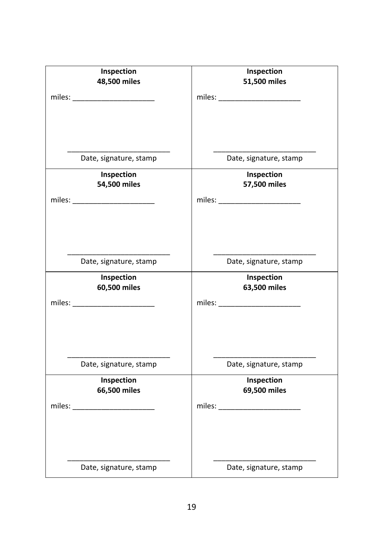| Inspection<br>48,500 miles                                                                                                                                                                                                                                                                                                                                                                                                                                                                                | Inspection<br>51,500 miles                                                        |
|-----------------------------------------------------------------------------------------------------------------------------------------------------------------------------------------------------------------------------------------------------------------------------------------------------------------------------------------------------------------------------------------------------------------------------------------------------------------------------------------------------------|-----------------------------------------------------------------------------------|
| miles: __________________________                                                                                                                                                                                                                                                                                                                                                                                                                                                                         |                                                                                   |
|                                                                                                                                                                                                                                                                                                                                                                                                                                                                                                           |                                                                                   |
|                                                                                                                                                                                                                                                                                                                                                                                                                                                                                                           |                                                                                   |
|                                                                                                                                                                                                                                                                                                                                                                                                                                                                                                           |                                                                                   |
| Date, signature, stamp                                                                                                                                                                                                                                                                                                                                                                                                                                                                                    | Date, signature, stamp                                                            |
| Inspection                                                                                                                                                                                                                                                                                                                                                                                                                                                                                                | Inspection                                                                        |
| 54,500 miles                                                                                                                                                                                                                                                                                                                                                                                                                                                                                              | 57,500 miles                                                                      |
| miles: __________________________                                                                                                                                                                                                                                                                                                                                                                                                                                                                         |                                                                                   |
|                                                                                                                                                                                                                                                                                                                                                                                                                                                                                                           |                                                                                   |
|                                                                                                                                                                                                                                                                                                                                                                                                                                                                                                           |                                                                                   |
| Date, signature, stamp                                                                                                                                                                                                                                                                                                                                                                                                                                                                                    | Date, signature, stamp                                                            |
| Inspection                                                                                                                                                                                                                                                                                                                                                                                                                                                                                                | Inspection                                                                        |
| 60,500 miles                                                                                                                                                                                                                                                                                                                                                                                                                                                                                              | 63,500 miles                                                                      |
| miles: ________________________                                                                                                                                                                                                                                                                                                                                                                                                                                                                           |                                                                                   |
|                                                                                                                                                                                                                                                                                                                                                                                                                                                                                                           |                                                                                   |
|                                                                                                                                                                                                                                                                                                                                                                                                                                                                                                           |                                                                                   |
| Date, signature, stamp                                                                                                                                                                                                                                                                                                                                                                                                                                                                                    | Date, signature, stamp                                                            |
| Inspection                                                                                                                                                                                                                                                                                                                                                                                                                                                                                                | Inspection                                                                        |
| 66,500 miles<br>$miles: \begin{tabular}{@{}c@{}} \hline \hline \multicolumn{3}{c}{} & \multicolumn{3}{c}{} & \multicolumn{3}{c}{} \\ \hline \multicolumn{3}{c}{} & \multicolumn{3}{c}{} & \multicolumn{3}{c}{} \\ \hline \multicolumn{3}{c}{} & \multicolumn{3}{c}{} & \multicolumn{3}{c}{} \\ \hline \multicolumn{3}{c}{} & \multicolumn{3}{c}{} & \multicolumn{3}{c}{} \\ \hline \multicolumn{3}{c}{} & \multicolumn{3}{c}{} & \multicolumn{3}{c}{} \\ \hline \multicolumn{3}{c}{} & \multicolumn{3}{c$ | 69,500 miles<br>miles: $\sqrt{\frac{1}{2} \sum_{i=1}^{n} x_i^2 + \cdots + x_i^2}$ |
|                                                                                                                                                                                                                                                                                                                                                                                                                                                                                                           |                                                                                   |
|                                                                                                                                                                                                                                                                                                                                                                                                                                                                                                           |                                                                                   |
|                                                                                                                                                                                                                                                                                                                                                                                                                                                                                                           |                                                                                   |
| Date, signature, stamp                                                                                                                                                                                                                                                                                                                                                                                                                                                                                    | Date, signature, stamp                                                            |